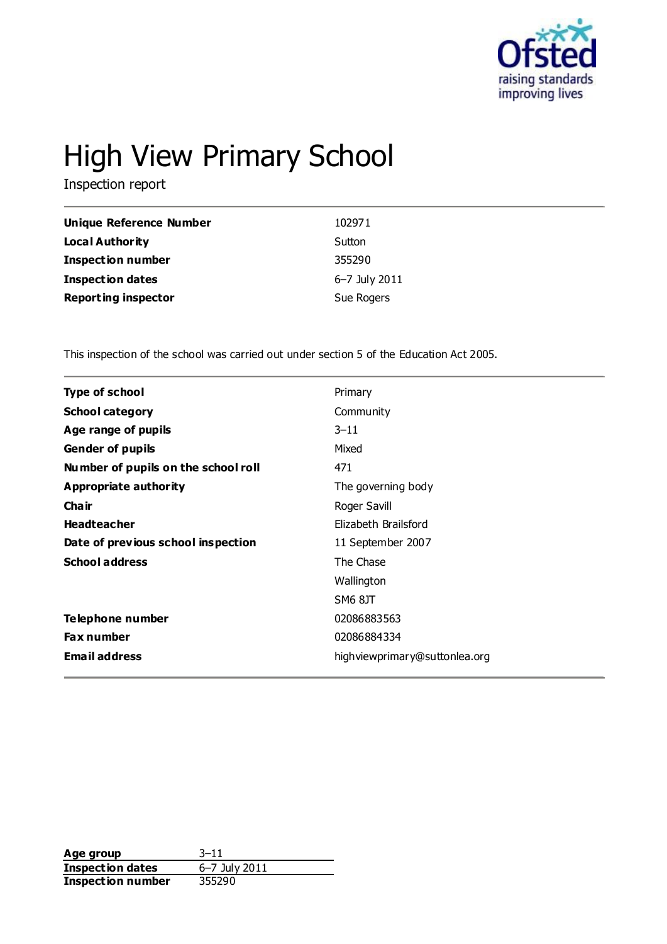

# High View Primary School

Inspection report

| Unique Reference Number    | 102971        |
|----------------------------|---------------|
| Local Authority            | Sutton        |
| <b>Inspection number</b>   | 355290        |
| <b>Inspection dates</b>    | 6-7 July 2011 |
| <b>Reporting inspector</b> | Sue Rogers    |

This inspection of the school was carried out under section 5 of the Education Act 2005.

| <b>Type of school</b>               | Primary                       |
|-------------------------------------|-------------------------------|
| <b>School category</b>              | Community                     |
| Age range of pupils                 | $3 - 11$                      |
| <b>Gender of pupils</b>             | Mixed                         |
| Number of pupils on the school roll | 471                           |
| Appropriate authority               | The governing body            |
| Cha ir                              | Roger Savill                  |
| <b>Headteacher</b>                  | Elizabeth Brailsford          |
| Date of previous school inspection  | 11 September 2007             |
| <b>School address</b>               | The Chase                     |
|                                     | Wallington                    |
|                                     | SM6 8JT                       |
| Telephone number                    | 02086883563                   |
| <b>Fax number</b>                   | 02086884334                   |
| <b>Email address</b>                | highviewprimary@suttonlea.org |
|                                     |                               |

**Age group** 3–11<br> **Inspection dates** 6–7 July 2011 **Inspection dates Inspection number** 355290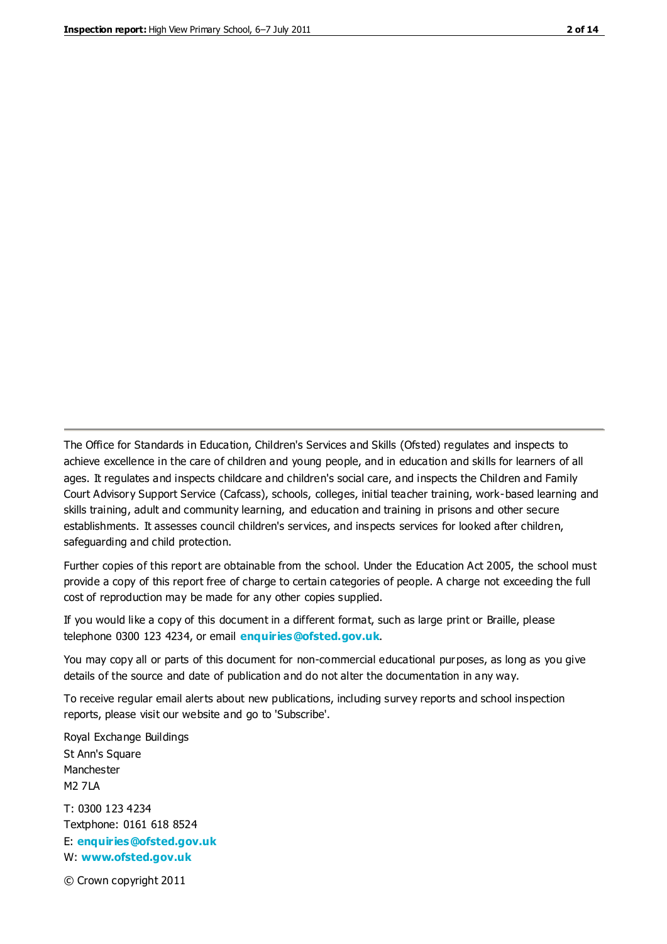The Office for Standards in Education, Children's Services and Skills (Ofsted) regulates and inspects to achieve excellence in the care of children and young people, and in education and skills for learners of all ages. It regulates and inspects childcare and children's social care, and inspects the Children and Family Court Advisory Support Service (Cafcass), schools, colleges, initial teacher training, work-based learning and skills training, adult and community learning, and education and training in prisons and other secure establishments. It assesses council children's services, and inspects services for looked after children, safeguarding and child protection.

Further copies of this report are obtainable from the school. Under the Education Act 2005, the school must provide a copy of this report free of charge to certain categories of people. A charge not exceeding the full cost of reproduction may be made for any other copies supplied.

If you would like a copy of this document in a different format, such as large print or Braille, please telephone 0300 123 4234, or email **[enquiries@ofsted.gov.uk](mailto:enquiries@ofsted.gov.uk)**.

You may copy all or parts of this document for non-commercial educational purposes, as long as you give details of the source and date of publication and do not alter the documentation in any way.

To receive regular email alerts about new publications, including survey reports and school inspection reports, please visit our website and go to 'Subscribe'.

Royal Exchange Buildings St Ann's Square Manchester M2 7LA T: 0300 123 4234 Textphone: 0161 618 8524 E: **[enquiries@ofsted.gov.uk](mailto:enquiries@ofsted.gov.uk)**

W: **[www.ofsted.gov.uk](http://www.ofsted.gov.uk/)**

© Crown copyright 2011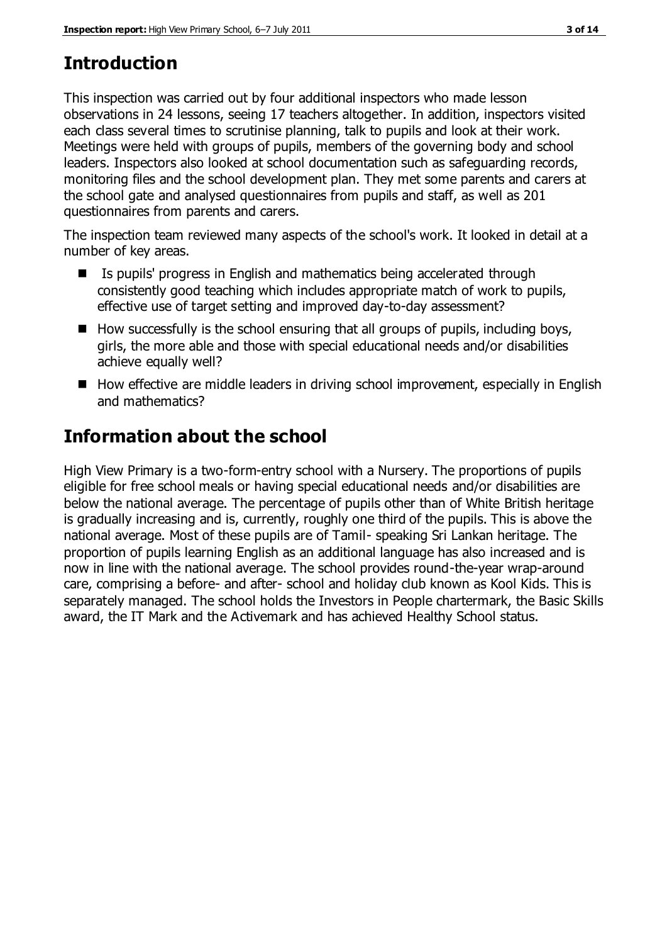## **Introduction**

This inspection was carried out by four additional inspectors who made lesson observations in 24 lessons, seeing 17 teachers altogether. In addition, inspectors visited each class several times to scrutinise planning, talk to pupils and look at their work. Meetings were held with groups of pupils, members of the governing body and school leaders. Inspectors also looked at school documentation such as safeguarding records, monitoring files and the school development plan. They met some parents and carers at the school gate and analysed questionnaires from pupils and staff, as well as 201 questionnaires from parents and carers.

The inspection team reviewed many aspects of the school's work. It looked in detail at a number of key areas.

- Is pupils' progress in English and mathematics being accelerated through consistently good teaching which includes appropriate match of work to pupils, effective use of target setting and improved day-to-day assessment?
- $\blacksquare$  How successfully is the school ensuring that all groups of pupils, including boys, girls, the more able and those with special educational needs and/or disabilities achieve equally well?
- How effective are middle leaders in driving school improvement, especially in English and mathematics?

## **Information about the school**

High View Primary is a two-form-entry school with a Nursery. The proportions of pupils eligible for free school meals or having special educational needs and/or disabilities are below the national average. The percentage of pupils other than of White British heritage is gradually increasing and is, currently, roughly one third of the pupils. This is above the national average. Most of these pupils are of Tamil- speaking Sri Lankan heritage. The proportion of pupils learning English as an additional language has also increased and is now in line with the national average. The school provides round-the-year wrap-around care, comprising a before- and after- school and holiday club known as Kool Kids. This is separately managed. The school holds the Investors in People chartermark, the Basic Skills award, the IT Mark and the Activemark and has achieved Healthy School status.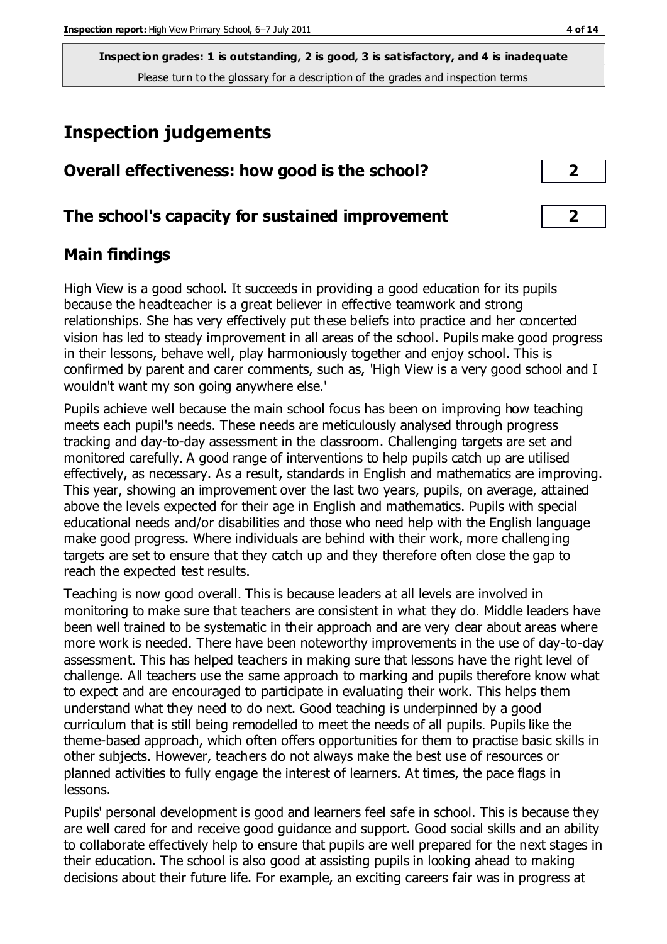## **Inspection judgements**

| Overall effectiveness: how good is the school?  |                         |  |
|-------------------------------------------------|-------------------------|--|
| The school's capacity for sustained improvement | $\overline{\mathbf{z}}$ |  |

## **Main findings**

High View is a good school. It succeeds in providing a good education for its pupils because the headteacher is a great believer in effective teamwork and strong relationships. She has very effectively put these beliefs into practice and her concerted vision has led to steady improvement in all areas of the school. Pupils make good progress in their lessons, behave well, play harmoniously together and enjoy school. This is confirmed by parent and carer comments, such as, 'High View is a very good school and I wouldn't want my son going anywhere else.'

Pupils achieve well because the main school focus has been on improving how teaching meets each pupil's needs. These needs are meticulously analysed through progress tracking and day-to-day assessment in the classroom. Challenging targets are set and monitored carefully. A good range of interventions to help pupils catch up are utilised effectively, as necessary. As a result, standards in English and mathematics are improving. This year, showing an improvement over the last two years, pupils, on average, attained above the levels expected for their age in English and mathematics. Pupils with special educational needs and/or disabilities and those who need help with the English language make good progress. Where individuals are behind with their work, more challenging targets are set to ensure that they catch up and they therefore often close the gap to reach the expected test results.

Teaching is now good overall. This is because leaders at all levels are involved in monitoring to make sure that teachers are consistent in what they do. Middle leaders have been well trained to be systematic in their approach and are very clear about areas where more work is needed. There have been noteworthy improvements in the use of day-to-day assessment. This has helped teachers in making sure that lessons have the right level of challenge. All teachers use the same approach to marking and pupils therefore know what to expect and are encouraged to participate in evaluating their work. This helps them understand what they need to do next. Good teaching is underpinned by a good curriculum that is still being remodelled to meet the needs of all pupils. Pupils like the theme-based approach, which often offers opportunities for them to practise basic skills in other subjects. However, teachers do not always make the best use of resources or planned activities to fully engage the interest of learners. At times, the pace flags in lessons.

Pupils' personal development is good and learners feel safe in school. This is because they are well cared for and receive good guidance and support. Good social skills and an ability to collaborate effectively help to ensure that pupils are well prepared for the next stages in their education. The school is also good at assisting pupils in looking ahead to making decisions about their future life. For example, an exciting careers fair was in progress at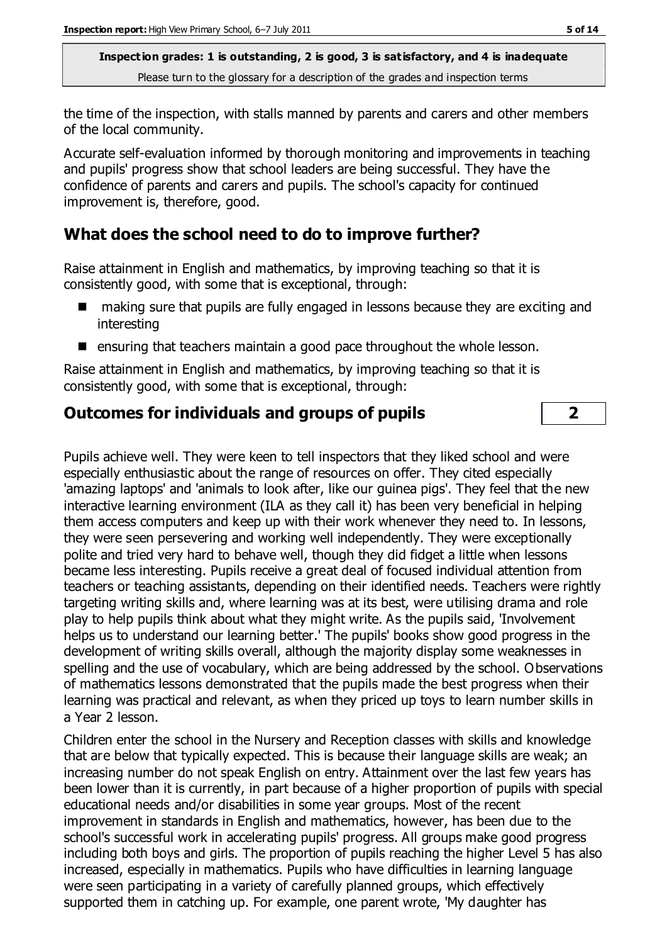the time of the inspection, with stalls manned by parents and carers and other members of the local community.

Accurate self-evaluation informed by thorough monitoring and improvements in teaching and pupils' progress show that school leaders are being successful. They have the confidence of parents and carers and pupils. The school's capacity for continued improvement is, therefore, good.

## **What does the school need to do to improve further?**

Raise attainment in English and mathematics, by improving teaching so that it is consistently good, with some that is exceptional, through:

- making sure that pupils are fully engaged in lessons because they are exciting and interesting
- $\blacksquare$  ensuring that teachers maintain a good pace throughout the whole lesson.

Raise attainment in English and mathematics, by improving teaching so that it is consistently good, with some that is exceptional, through:

## **Outcomes for individuals and groups of pupils 2**

Pupils achieve well. They were keen to tell inspectors that they liked school and were especially enthusiastic about the range of resources on offer. They cited especially 'amazing laptops' and 'animals to look after, like our guinea pigs'. They feel that the new interactive learning environment (ILA as they call it) has been very beneficial in helping them access computers and keep up with their work whenever they need to. In lessons, they were seen persevering and working well independently. They were exceptionally polite and tried very hard to behave well, though they did fidget a little when lessons became less interesting. Pupils receive a great deal of focused individual attention from teachers or teaching assistants, depending on their identified needs. Teachers were rightly targeting writing skills and, where learning was at its best, were utilising drama and role play to help pupils think about what they might write. As the pupils said, 'Involvement helps us to understand our learning better.' The pupils' books show good progress in the development of writing skills overall, although the majority display some weaknesses in spelling and the use of vocabulary, which are being addressed by the school. Observations of mathematics lessons demonstrated that the pupils made the best progress when their learning was practical and relevant, as when they priced up toys to learn number skills in a Year 2 lesson.

Children enter the school in the Nursery and Reception classes with skills and knowledge that are below that typically expected. This is because their language skills are weak; an increasing number do not speak English on entry. Attainment over the last few years has been lower than it is currently, in part because of a higher proportion of pupils with special educational needs and/or disabilities in some year groups. Most of the recent improvement in standards in English and mathematics, however, has been due to the school's successful work in accelerating pupils' progress. All groups make good progress including both boys and girls. The proportion of pupils reaching the higher Level 5 has also increased, especially in mathematics. Pupils who have difficulties in learning language were seen participating in a variety of carefully planned groups, which effectively supported them in catching up. For example, one parent wrote, 'My daughter has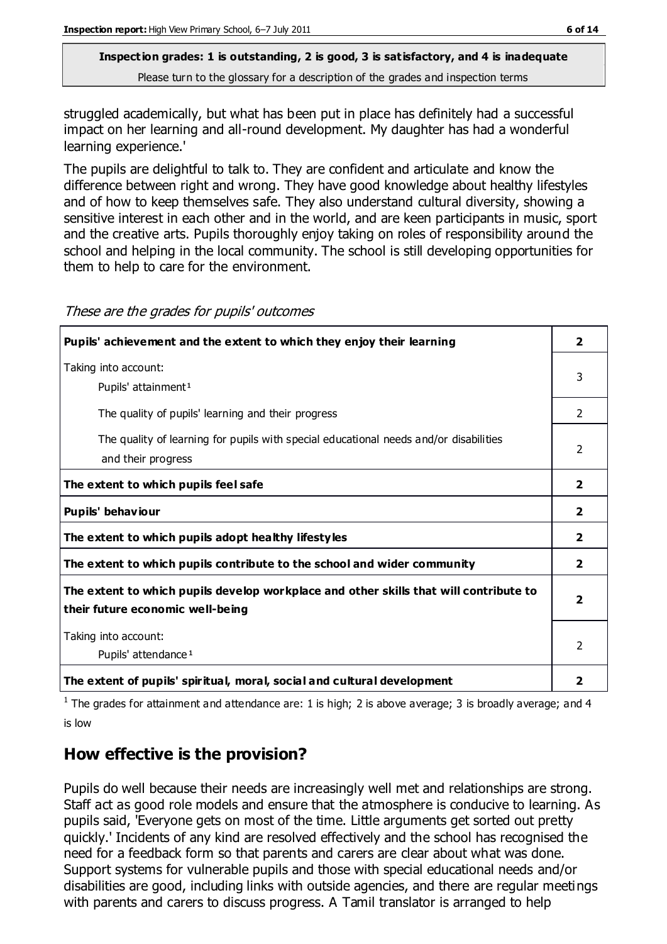struggled academically, but what has been put in place has definitely had a successful impact on her learning and all-round development. My daughter has had a wonderful learning experience.'

The pupils are delightful to talk to. They are confident and articulate and know the difference between right and wrong. They have good knowledge about healthy lifestyles and of how to keep themselves safe. They also understand cultural diversity, showing a sensitive interest in each other and in the world, and are keen participants in music, sport and the creative arts. Pupils thoroughly enjoy taking on roles of responsibility around the school and helping in the local community. The school is still developing opportunities for them to help to care for the environment.

| Pupils' achievement and the extent to which they enjoy their learning                                                     | 2              |
|---------------------------------------------------------------------------------------------------------------------------|----------------|
| Taking into account:<br>Pupils' attainment <sup>1</sup>                                                                   | 3              |
| The quality of pupils' learning and their progress                                                                        | $\mathcal{P}$  |
| The quality of learning for pupils with special educational needs and/or disabilities<br>and their progress               | $\mathfrak{D}$ |
| The extent to which pupils feel safe                                                                                      | $\overline{2}$ |
| Pupils' behaviour                                                                                                         | 2              |
| The extent to which pupils adopt healthy lifestyles                                                                       | $\overline{2}$ |
| The extent to which pupils contribute to the school and wider community                                                   | $\overline{2}$ |
| The extent to which pupils develop workplace and other skills that will contribute to<br>their future economic well-being | 2              |
| Taking into account:<br>Pupils' attendance <sup>1</sup>                                                                   | C.             |
| The extent of pupils' spiritual, moral, social and cultural development                                                   | $\overline{2}$ |

These are the grades for pupils' outcomes

<sup>1</sup> The grades for attainment and attendance are: 1 is high; 2 is above average; 3 is broadly average; and 4 is low

## **How effective is the provision?**

Pupils do well because their needs are increasingly well met and relationships are strong. Staff act as good role models and ensure that the atmosphere is conducive to learning. As pupils said, 'Everyone gets on most of the time. Little arguments get sorted out pretty quickly.' Incidents of any kind are resolved effectively and the school has recognised the need for a feedback form so that parents and carers are clear about what was done. Support systems for vulnerable pupils and those with special educational needs and/or disabilities are good, including links with outside agencies, and there are regular meetings with parents and carers to discuss progress. A Tamil translator is arranged to help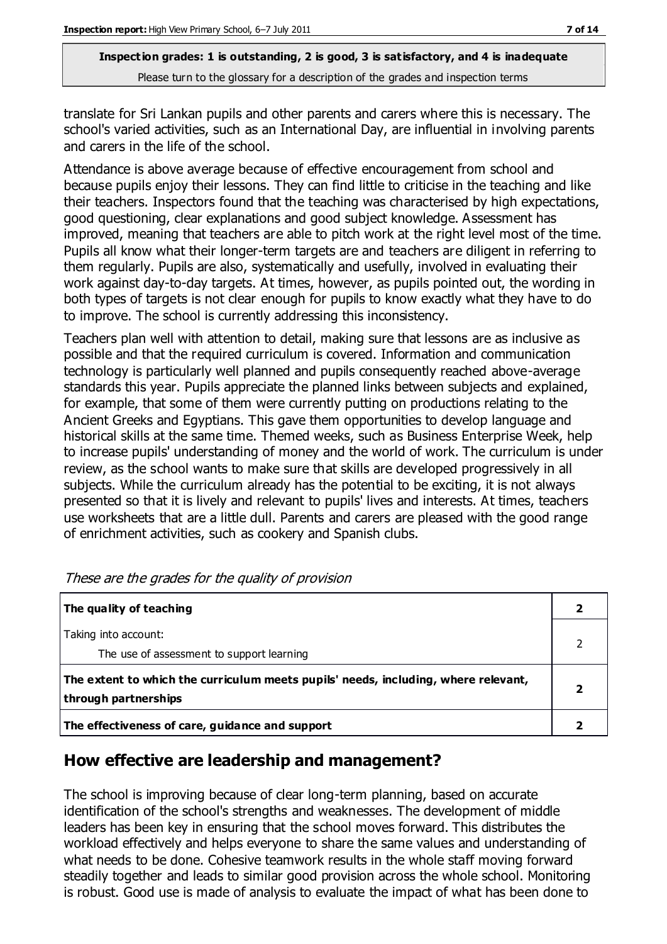translate for Sri Lankan pupils and other parents and carers where this is necessary. The school's varied activities, such as an International Day, are influential in involving parents and carers in the life of the school.

Attendance is above average because of effective encouragement from school and because pupils enjoy their lessons. They can find little to criticise in the teaching and like their teachers. Inspectors found that the teaching was characterised by high expectations, good questioning, clear explanations and good subject knowledge. Assessment has improved, meaning that teachers are able to pitch work at the right level most of the time. Pupils all know what their longer-term targets are and teachers are diligent in referring to them regularly. Pupils are also, systematically and usefully, involved in evaluating their work against day-to-day targets. At times, however, as pupils pointed out, the wording in both types of targets is not clear enough for pupils to know exactly what they have to do to improve. The school is currently addressing this inconsistency.

Teachers plan well with attention to detail, making sure that lessons are as inclusive as possible and that the required curriculum is covered. Information and communication technology is particularly well planned and pupils consequently reached above-average standards this year. Pupils appreciate the planned links between subjects and explained, for example, that some of them were currently putting on productions relating to the Ancient Greeks and Egyptians. This gave them opportunities to develop language and historical skills at the same time. Themed weeks, such as Business Enterprise Week, help to increase pupils' understanding of money and the world of work. The curriculum is under review, as the school wants to make sure that skills are developed progressively in all subjects. While the curriculum already has the potential to be exciting, it is not always presented so that it is lively and relevant to pupils' lives and interests. At times, teachers use worksheets that are a little dull. Parents and carers are pleased with the good range of enrichment activities, such as cookery and Spanish clubs.

| The quality of teaching                                                                                    |  |
|------------------------------------------------------------------------------------------------------------|--|
| Taking into account:<br>The use of assessment to support learning                                          |  |
| The extent to which the curriculum meets pupils' needs, including, where relevant,<br>through partnerships |  |
| The effectiveness of care, guidance and support                                                            |  |

These are the grades for the quality of provision

## **How effective are leadership and management?**

The school is improving because of clear long-term planning, based on accurate identification of the school's strengths and weaknesses. The development of middle leaders has been key in ensuring that the school moves forward. This distributes the workload effectively and helps everyone to share the same values and understanding of what needs to be done. Cohesive teamwork results in the whole staff moving forward steadily together and leads to similar good provision across the whole school. Monitoring is robust. Good use is made of analysis to evaluate the impact of what has been done to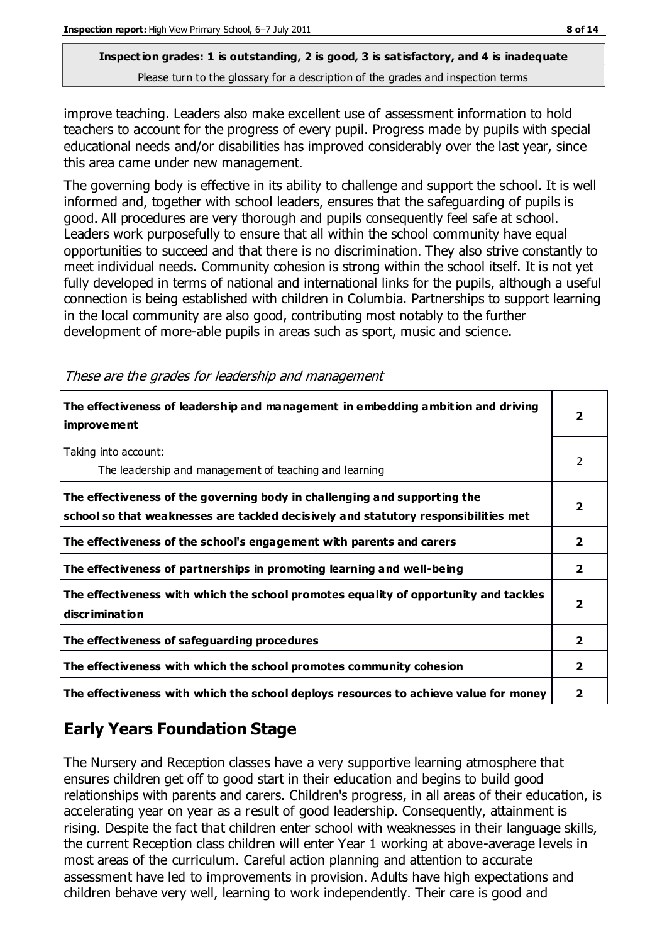improve teaching. Leaders also make excellent use of assessment information to hold teachers to account for the progress of every pupil. Progress made by pupils with special educational needs and/or disabilities has improved considerably over the last year, since this area came under new management.

The governing body is effective in its ability to challenge and support the school. It is well informed and, together with school leaders, ensures that the safeguarding of pupils is good. All procedures are very thorough and pupils consequently feel safe at school. Leaders work purposefully to ensure that all within the school community have equal opportunities to succeed and that there is no discrimination. They also strive constantly to meet individual needs. Community cohesion is strong within the school itself. It is not yet fully developed in terms of national and international links for the pupils, although a useful connection is being established with children in Columbia. Partnerships to support learning in the local community are also good, contributing most notably to the further development of more-able pupils in areas such as sport, music and science.

| The effectiveness of leadership and management in embedding ambition and driving<br>improvement                                                                  |                         |
|------------------------------------------------------------------------------------------------------------------------------------------------------------------|-------------------------|
| Taking into account:<br>The leadership and management of teaching and learning                                                                                   | $\mathcal{P}$           |
| The effectiveness of the governing body in challenging and supporting the<br>school so that weaknesses are tackled decisively and statutory responsibilities met | $\overline{\mathbf{2}}$ |
| The effectiveness of the school's engagement with parents and carers                                                                                             | $\overline{\mathbf{2}}$ |
| The effectiveness of partnerships in promoting learning and well-being                                                                                           | 2                       |
| The effectiveness with which the school promotes equality of opportunity and tackles<br>discrimination                                                           | 2                       |
| The effectiveness of safeguarding procedures                                                                                                                     | $\overline{2}$          |
| The effectiveness with which the school promotes community cohesion                                                                                              | 2                       |
| The effectiveness with which the school deploys resources to achieve value for money                                                                             | 2                       |

These are the grades for leadership and management

## **Early Years Foundation Stage**

The Nursery and Reception classes have a very supportive learning atmosphere that ensures children get off to good start in their education and begins to build good relationships with parents and carers. Children's progress, in all areas of their education, is accelerating year on year as a result of good leadership. Consequently, attainment is rising. Despite the fact that children enter school with weaknesses in their language skills, the current Reception class children will enter Year 1 working at above-average levels in most areas of the curriculum. Careful action planning and attention to accurate assessment have led to improvements in provision. Adults have high expectations and children behave very well, learning to work independently. Their care is good and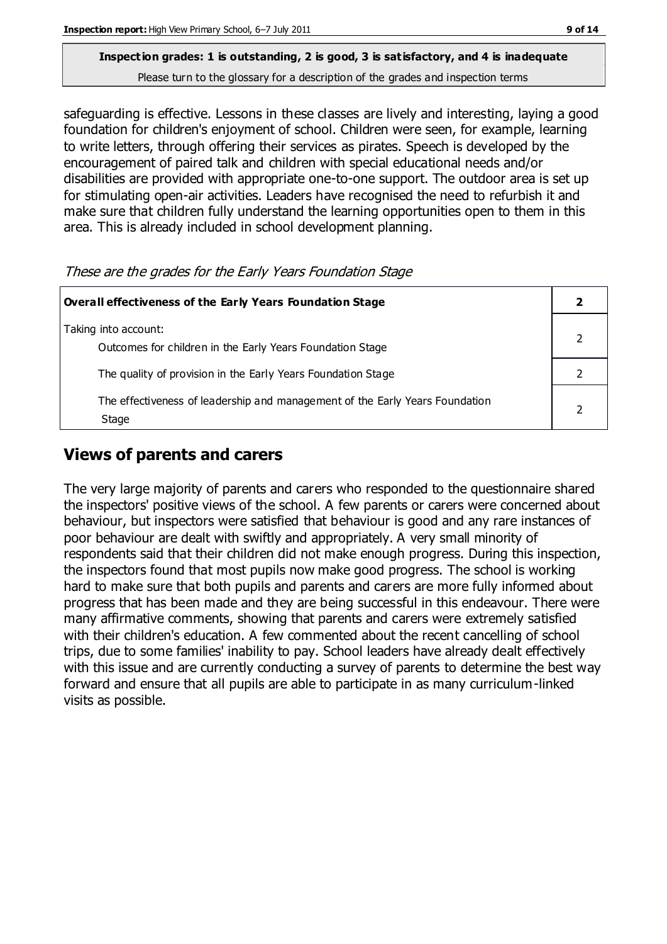## **Inspection grades: 1 is outstanding, 2 is good, 3 is satisfactory, and 4 is inadequate**

Please turn to the glossary for a description of the grades and inspection terms

safeguarding is effective. Lessons in these classes are lively and interesting, laying a good foundation for children's enjoyment of school. Children were seen, for example, learning to write letters, through offering their services as pirates. Speech is developed by the encouragement of paired talk and children with special educational needs and/or disabilities are provided with appropriate one-to-one support. The outdoor area is set up for stimulating open-air activities. Leaders have recognised the need to refurbish it and make sure that children fully understand the learning opportunities open to them in this area. This is already included in school development planning.

These are the grades for the Early Years Foundation Stage

| Overall effectiveness of the Early Years Foundation Stage                             |  |  |
|---------------------------------------------------------------------------------------|--|--|
| Taking into account:<br>Outcomes for children in the Early Years Foundation Stage     |  |  |
| The quality of provision in the Early Years Foundation Stage                          |  |  |
| The effectiveness of leadership and management of the Early Years Foundation<br>Stage |  |  |

## **Views of parents and carers**

The very large majority of parents and carers who responded to the questionnaire shared the inspectors' positive views of the school. A few parents or carers were concerned about behaviour, but inspectors were satisfied that behaviour is good and any rare instances of poor behaviour are dealt with swiftly and appropriately. A very small minority of respondents said that their children did not make enough progress. During this inspection, the inspectors found that most pupils now make good progress. The school is working hard to make sure that both pupils and parents and carers are more fully informed about progress that has been made and they are being successful in this endeavour. There were many affirmative comments, showing that parents and carers were extremely satisfied with their children's education. A few commented about the recent cancelling of school trips, due to some families' inability to pay. School leaders have already dealt effectively with this issue and are currently conducting a survey of parents to determine the best way forward and ensure that all pupils are able to participate in as many curriculum-linked visits as possible.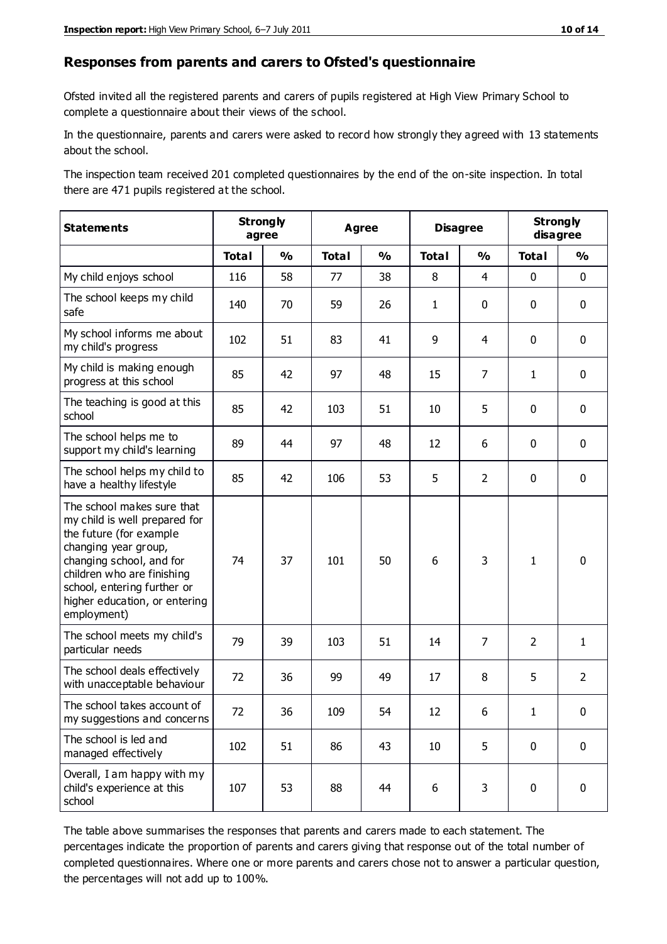#### **Responses from parents and carers to Ofsted's questionnaire**

Ofsted invited all the registered parents and carers of pupils registered at High View Primary School to complete a questionnaire about their views of the school.

In the questionnaire, parents and carers were asked to record how strongly they agreed with 13 statements about the school.

The inspection team received 201 completed questionnaires by the end of the on-site inspection. In total there are 471 pupils registered at the school.

| <b>Statements</b>                                                                                                                                                                                                                                       | <b>Strongly</b><br>agree |               | <b>Disagree</b><br><b>Agree</b> |               | <b>Strongly</b><br>disagree |                |                |                |
|---------------------------------------------------------------------------------------------------------------------------------------------------------------------------------------------------------------------------------------------------------|--------------------------|---------------|---------------------------------|---------------|-----------------------------|----------------|----------------|----------------|
|                                                                                                                                                                                                                                                         | <b>Total</b>             | $\frac{0}{0}$ | <b>Total</b>                    | $\frac{0}{0}$ | <b>Total</b>                | $\frac{1}{2}$  | <b>Total</b>   | $\frac{0}{0}$  |
| My child enjoys school                                                                                                                                                                                                                                  | 116                      | 58            | 77                              | 38            | 8                           | 4              | 0              | $\mathbf 0$    |
| The school keeps my child<br>safe                                                                                                                                                                                                                       | 140                      | 70            | 59                              | 26            | 1                           | $\mathbf 0$    | $\mathbf 0$    | $\mathbf 0$    |
| My school informs me about<br>my child's progress                                                                                                                                                                                                       | 102                      | 51            | 83                              | 41            | 9                           | $\overline{4}$ | $\mathbf 0$    | $\mathbf 0$    |
| My child is making enough<br>progress at this school                                                                                                                                                                                                    | 85                       | 42            | 97                              | 48            | 15                          | 7              | $\mathbf{1}$   | $\mathbf 0$    |
| The teaching is good at this<br>school                                                                                                                                                                                                                  | 85                       | 42            | 103                             | 51            | 10                          | 5              | $\mathbf 0$    | $\mathbf 0$    |
| The school helps me to<br>support my child's learning                                                                                                                                                                                                   | 89                       | 44            | 97                              | 48            | 12                          | 6              | $\mathbf 0$    | $\mathbf 0$    |
| The school helps my child to<br>have a healthy lifestyle                                                                                                                                                                                                | 85                       | 42            | 106                             | 53            | 5                           | $\overline{2}$ | $\mathbf 0$    | $\mathbf 0$    |
| The school makes sure that<br>my child is well prepared for<br>the future (for example<br>changing year group,<br>changing school, and for<br>children who are finishing<br>school, entering further or<br>higher education, or entering<br>employment) | 74                       | 37            | 101                             | 50            | 6                           | 3              | $\mathbf{1}$   | $\mathbf 0$    |
| The school meets my child's<br>particular needs                                                                                                                                                                                                         | 79                       | 39            | 103                             | 51            | 14                          | 7              | $\overline{2}$ | $\mathbf{1}$   |
| The school deals effectively<br>with unacceptable behaviour                                                                                                                                                                                             | 72                       | 36            | 99                              | 49            | 17                          | 8              | 5              | $\overline{2}$ |
| The school takes account of<br>my suggestions and concerns                                                                                                                                                                                              | 72                       | 36            | 109                             | 54            | 12                          | 6              | 1              | 0              |
| The school is led and<br>managed effectively                                                                                                                                                                                                            | 102                      | 51            | 86                              | 43            | 10                          | 5              | $\mathbf 0$    | $\mathbf 0$    |
| Overall, I am happy with my<br>child's experience at this<br>school                                                                                                                                                                                     | 107                      | 53            | 88                              | 44            | $6\,$                       | 3              | $\mathbf 0$    | $\pmb{0}$      |

The table above summarises the responses that parents and carers made to each statement. The percentages indicate the proportion of parents and carers giving that response out of the total number of completed questionnaires. Where one or more parents and carers chose not to answer a particular question, the percentages will not add up to 100%.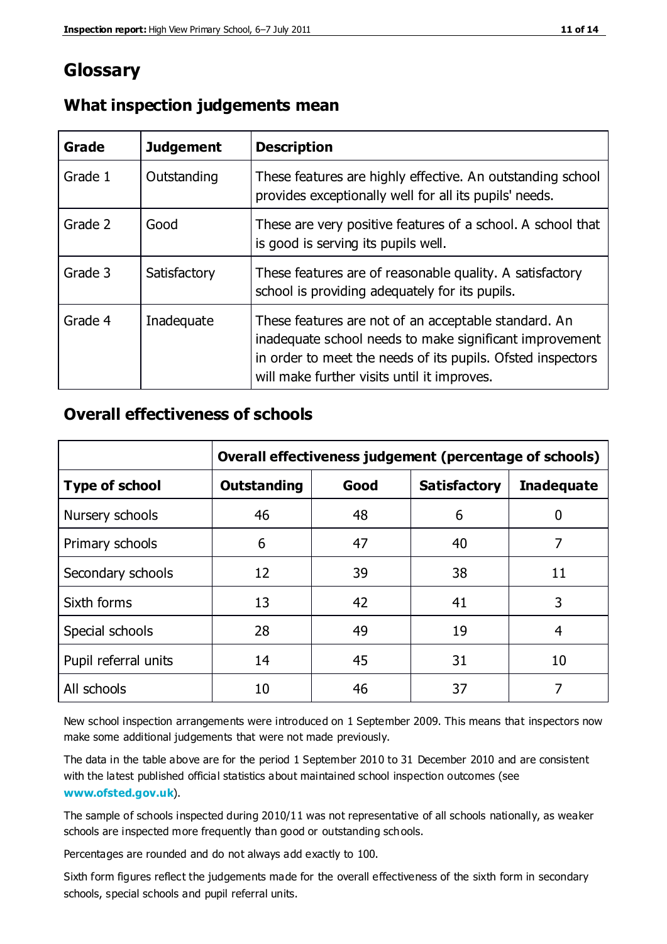## **Glossary**

| Grade   | <b>Judgement</b> | <b>Description</b>                                                                                                                                                                                                            |
|---------|------------------|-------------------------------------------------------------------------------------------------------------------------------------------------------------------------------------------------------------------------------|
| Grade 1 | Outstanding      | These features are highly effective. An outstanding school<br>provides exceptionally well for all its pupils' needs.                                                                                                          |
| Grade 2 | Good             | These are very positive features of a school. A school that<br>is good is serving its pupils well.                                                                                                                            |
| Grade 3 | Satisfactory     | These features are of reasonable quality. A satisfactory<br>school is providing adequately for its pupils.                                                                                                                    |
| Grade 4 | Inadequate       | These features are not of an acceptable standard. An<br>inadequate school needs to make significant improvement<br>in order to meet the needs of its pupils. Ofsted inspectors<br>will make further visits until it improves. |

#### **What inspection judgements mean**

## **Overall effectiveness of schools**

|                       | Overall effectiveness judgement (percentage of schools) |      |                     |                   |
|-----------------------|---------------------------------------------------------|------|---------------------|-------------------|
| <b>Type of school</b> | <b>Outstanding</b>                                      | Good | <b>Satisfactory</b> | <b>Inadequate</b> |
| Nursery schools       | 46                                                      | 48   | 6                   |                   |
| Primary schools       | 6                                                       | 47   | 40                  | 7                 |
| Secondary schools     | 12                                                      | 39   | 38                  | 11                |
| Sixth forms           | 13                                                      | 42   | 41                  | 3                 |
| Special schools       | 28                                                      | 49   | 19                  | 4                 |
| Pupil referral units  | 14                                                      | 45   | 31                  | 10                |
| All schools           | 10                                                      | 46   | 37                  |                   |

New school inspection arrangements were introduced on 1 September 2009. This means that inspectors now make some additional judgements that were not made previously.

The data in the table above are for the period 1 September 2010 to 31 December 2010 and are consistent with the latest published official statistics about maintained school inspection outcomes (see **[www.ofsted.gov.uk](http://www.ofsted.gov.uk/)**).

The sample of schools inspected during 2010/11 was not representative of all schools nationally, as weaker schools are inspected more frequently than good or outstanding schools.

Percentages are rounded and do not always add exactly to 100.

Sixth form figures reflect the judgements made for the overall effectiveness of the sixth form in secondary schools, special schools and pupil referral units.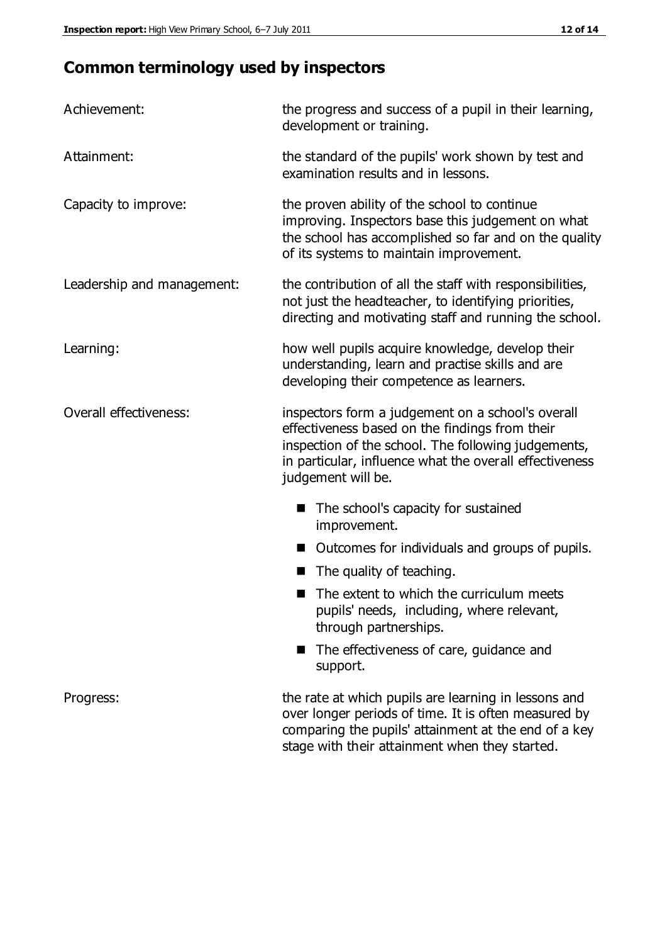## **Common terminology used by inspectors**

| Achievement:               | the progress and success of a pupil in their learning,<br>development or training.                                                                                                                                                          |  |  |
|----------------------------|---------------------------------------------------------------------------------------------------------------------------------------------------------------------------------------------------------------------------------------------|--|--|
| Attainment:                | the standard of the pupils' work shown by test and<br>examination results and in lessons.                                                                                                                                                   |  |  |
| Capacity to improve:       | the proven ability of the school to continue<br>improving. Inspectors base this judgement on what<br>the school has accomplished so far and on the quality<br>of its systems to maintain improvement.                                       |  |  |
| Leadership and management: | the contribution of all the staff with responsibilities,<br>not just the headteacher, to identifying priorities,<br>directing and motivating staff and running the school.                                                                  |  |  |
| Learning:                  | how well pupils acquire knowledge, develop their<br>understanding, learn and practise skills and are<br>developing their competence as learners.                                                                                            |  |  |
| Overall effectiveness:     | inspectors form a judgement on a school's overall<br>effectiveness based on the findings from their<br>inspection of the school. The following judgements,<br>in particular, influence what the overall effectiveness<br>judgement will be. |  |  |
|                            | The school's capacity for sustained<br>improvement.                                                                                                                                                                                         |  |  |
|                            | Outcomes for individuals and groups of pupils.                                                                                                                                                                                              |  |  |
|                            | The quality of teaching.                                                                                                                                                                                                                    |  |  |
|                            | The extent to which the curriculum meets<br>pupils' needs, including, where relevant,<br>through partnerships.                                                                                                                              |  |  |
|                            | The effectiveness of care, guidance and<br>support.                                                                                                                                                                                         |  |  |
| Progress:                  | the rate at which pupils are learning in lessons and<br>over longer periods of time. It is often measured by<br>comparing the pupils' attainment at the end of a key                                                                        |  |  |

stage with their attainment when they started.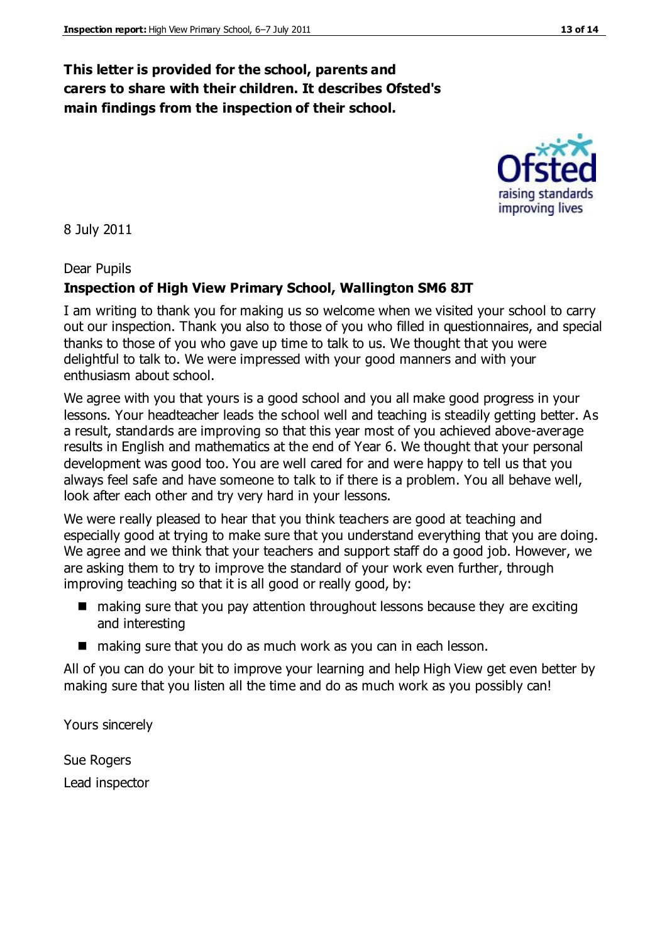## **This letter is provided for the school, parents and carers to share with their children. It describes Ofsted's main findings from the inspection of their school.**

8 July 2011

Dear Pupils

#### **Inspection of High View Primary School, Wallington SM6 8JT**

I am writing to thank you for making us so welcome when we visited your school to carry out our inspection. Thank you also to those of you who filled in questionnaires, and special thanks to those of you who gave up time to talk to us. We thought that you were delightful to talk to. We were impressed with your good manners and with your enthusiasm about school.

We agree with you that yours is a good school and you all make good progress in your lessons. Your headteacher leads the school well and teaching is steadily getting better. As a result, standards are improving so that this year most of you achieved above-average results in English and mathematics at the end of Year 6. We thought that your personal development was good too. You are well cared for and were happy to tell us that you always feel safe and have someone to talk to if there is a problem. You all behave well, look after each other and try very hard in your lessons.

We were really pleased to hear that you think teachers are good at teaching and especially good at trying to make sure that you understand everything that you are doing. We agree and we think that your teachers and support staff do a good job. However, we are asking them to try to improve the standard of your work even further, through improving teaching so that it is all good or really good, by:

- making sure that you pay attention throughout lessons because they are exciting and interesting
- making sure that you do as much work as you can in each lesson.

All of you can do your bit to improve your learning and help High View get even better by making sure that you listen all the time and do as much work as you possibly can!

Yours sincerely

Sue Rogers Lead inspector